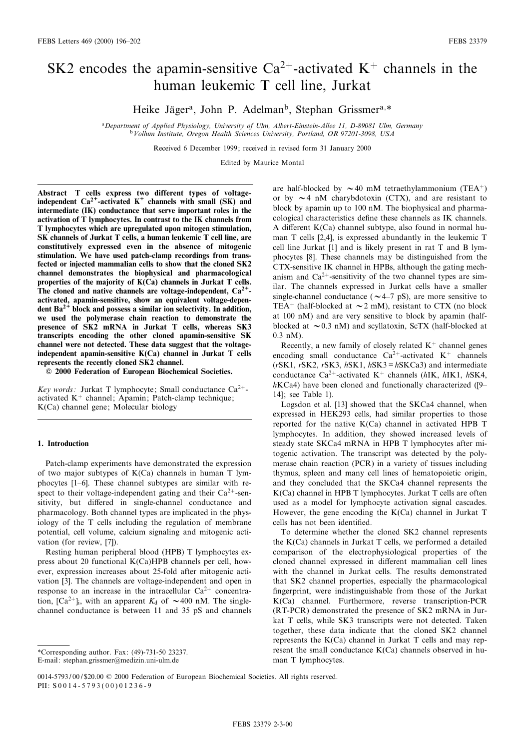# SK2 encodes the apamin-sensitive Ca<sup>2+</sup>-activated K<sup>+</sup> channels in the human leukemic T cell line, Jurkat

Heike Jäger<sup>a</sup>, John P. Adelman<sup>b</sup>, Stephan Grissmer<sup>a,\*</sup>

<sup>a</sup>Department of Applied Physiology, University of Ulm, Albert-Einstein-Allee 11, D-89081 Ulm, Germany bVollum Institute, Oregon Health Sciences University, Portland, OR 97201-3098, USA

Received 6 December 1999; received in revised form 31 January 2000

Edited by Maurice Montal

Abstract T cells express two different types of voltageindependent  $Ca^{2+}$ -activated  $K^+$  channels with small (SK) and intermediate (IK) conductance that serve important roles in the activation of T lymphocytes. In contrast to the IK channels from T lymphocytes which are upregulated upon mitogen stimulation, SK channels of Jurkat T cells, a human leukemic T cell line, are constitutively expressed even in the absence of mitogenic stimulation. We have used patch-clamp recordings from transfected or injected mammalian cells to show that the cloned SK2 channel demonstrates the biophysical and pharmacological properties of the majority of K(Ca) channels in Jurkat T cells. The cloned and native channels are voltage-independent,  $Ca^{2+}$ activated, apamin-sensitive, show an equivalent voltage-dependent  $Ba^{2+}$  block and possess a similar ion selectivity. In addition, we used the polymerase chain reaction to demonstrate the presence of SK2 mRNA in Jurkat T cells, whereas SK3 transcripts encoding the other cloned apamin-sensitive SK channel were not detected. These data suggest that the voltageindependent apamin-sensitive K(Ca) channel in Jurkat T cells represents the recently cloned SK2 channel.

 $© 2000 Federation of European Biochemical Societies.$ 

Key words: Jurkat T lymphocyte; Small conductance  $Ca^{2+}$ activated  $K^+$  channel; Apamin; Patch-clamp technique; K(Ca) channel gene; Molecular biology

## 1. Introduction

Patch-clamp experiments have demonstrated the expression of two major subtypes of  $K(Ca)$  channels in human T lymphocytes [1-6]. These channel subtypes are similar with respect to their voltage-independent gating and their  $Ca^{2+}$ -sensitivity, but differed in single-channel conductance and pharmacology. Both channel types are implicated in the physiology of the T cells including the regulation of membrane potential, cell volume, calcium signaling and mitogenic activation (for review, [7]).

Resting human peripheral blood (HPB) T lymphocytes express about 20 functional K(Ca)HPB channels per cell, however, expression increases about 25-fold after mitogenic activation [3]. The channels are voltage-independent and open in response to an increase in the intracellular  $Ca^{2+}$  concentration,  $[Ca^{2+}]_i$ , with an apparent  $K_d$  of  $\sim$  400 nM. The singlechannel conductance is between 11 and 35 pS and channels

are half-blocked by  $\sim$  40 mM tetraethylammonium (TEA<sup>+</sup>) or by  $\sim$  4 nM charybdotoxin (CTX), and are resistant to block by apamin up to 100 nM. The biophysical and pharmacological characteristics define these channels as IK channels. A different  $K(Ca)$  channel subtype, also found in normal human T cells [2,4], is expressed abundantly in the leukemic T cell line Jurkat [1] and is likely present in rat T and B lymphocytes [8]. These channels may be distinguished from the CTX-sensitive IK channel in HPBs, although the gating mechanism and  $Ca^{2+}$ -sensitivity of the two channel types are similar. The channels expressed in Jurkat cells have a smaller single-channel conductance ( $\sim$  4–7 pS), are more sensitive to TEA<sup>+</sup> (half-blocked at  $\sim$  2 mM), resistant to CTX (no block at 100 nM) and are very sensitive to block by apamin (halfblocked at  $\sim$  0.3 nM) and scyllatoxin, ScTX (half-blocked at 0.3 nM).

Recently, a new family of closely related  $K^+$  channel genes encoding small conductance  $Ca^{2+}$ -activated  $K^+$  channels  $(rSK1, rSK2, rSK3, hSK1, hSK3 = hSKCa3)$  and intermediate conductance Ca<sup>2+</sup>-activated K<sup>+</sup> channels (hIK, hIK1, hSK4,  $h$ KCa4) have been cloned and functionally characterized ([9– 14]; see Table 1).

Logsdon et al. [13] showed that the SKCa4 channel, when expressed in HEK293 cells, had similar properties to those reported for the native K(Ca) channel in activated HPB T lymphocytes. In addition, they showed increased levels of steady state SKCa4 mRNA in HPB T lymphocytes after mitogenic activation. The transcript was detected by the polymerase chain reaction (PCR) in a variety of tissues including thymus, spleen and many cell lines of hematopoietic origin, and they concluded that the SKCa4 channel represents the K(Ca) channel in HPB T lymphocytes. Jurkat T cells are often used as a model for lymphocyte activation signal cascades. However, the gene encoding the K(Ca) channel in Jurkat T cells has not been identified.

To determine whether the cloned SK2 channel represents the K(Ca) channels in Jurkat T cells, we performed a detailed comparison of the electrophysiological properties of the cloned channel expressed in different mammalian cell lines with the channel in Jurkat cells. The results demonstrated that SK2 channel properties, especially the pharmacological ¢ngerprint, were indistinguishable from those of the Jurkat K(Ca) channel. Furthermore, reverse transcription-PCR (RT-PCR) demonstrated the presence of SK2 mRNA in Jurkat T cells, while SK3 transcripts were not detected. Taken together, these data indicate that the cloned SK2 channel represents the K(Ca) channel in Jurkat T cells and may represent the small conductance K(Ca) channels observed in human T lymphocytes.

<sup>\*</sup>Corresponding author. Fax: (49)-731-50 23237.

E-mail: stephan.grissmer@medizin.uni-ulm.de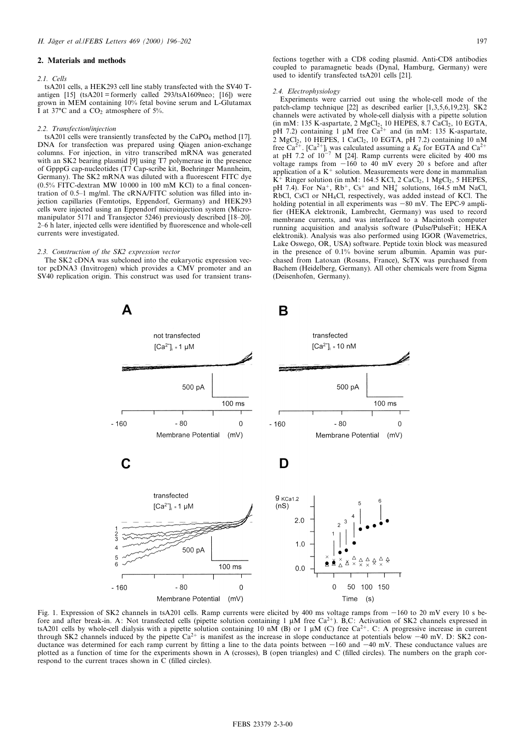## 2. Materials and methods

#### 2.1. Cells

tsA201 cells, a HEK293 cell line stably transfected with the SV40 Tantigen  $[15]$  (tsA201 = formerly called 293/tsA1609neo;  $[16]$ ) were grown in MEM containing 10% fetal bovine serum and L-Glutamax I at 37 $^{\circ}$ C and a CO<sub>2</sub> atmosphere of 5%.

#### 2.2. Transfection/injection

tsA201 cells were transiently transfected by the CaPO<sub>4</sub> method [17]. DNA for transfection was prepared using Qiagen anion-exchange columns. For injection, in vitro transcribed mRNA was generated with an SK2 bearing plasmid [9] using T7 polymerase in the presence of GpppG cap-nucleotides (T7 Cap-scribe kit, Boehringer Mannheim, Germany). The SK2 mRNA was diluted with a fluorescent FITC dye  $(0.5\%$  FITC-dextran MW 10000 in 100 mM KCl) to a final concentration of 0.5-1 mg/ml. The cRNA/FITC solution was filled into injection capillaries (Femtotips, Eppendorf, Germany) and HEK293 cells were injected using an Eppendorf microinjection system (Micromanipulator 5171 and Transjector 5246) previously described [18-20]. 2–6 h later, injected cells were identified by fluorescence and whole-cell currents were investigated.

#### 2.3. Construction of the SK2 expression vector

The SK2 cDNA was subcloned into the eukaryotic expression vector pcDNA3 (Invitrogen) which provides a CMV promoter and an SV40 replication origin. This construct was used for transient transfections together with a CD8 coding plasmid. Anti-CD8 antibodies coupled to paramagnetic beads (Dynal, Hamburg, Germany) were used to identify transfected tsA201 cells [21].

#### 2.4. Electrophysiology

Experiments were carried out using the whole-cell mode of the patch-clamp technique [22] as described earlier [1,3,5,6,19,23]. SK2 channels were activated by whole-cell dialysis with a pipette solution (in mM: 135 K-aspartate, 2 MgCl<sub>2</sub>, 10 HEPES, 8.7 CaCl<sub>2</sub>, 10 EGTA, pH 7.2) containing 1  $\mu$ M free Ca<sup>2+</sup> and (in mM: 135 K-aspartate,  $2 \text{ MgCl}_2$ , 10 HEPES, 1 CaCl<sub>2</sub>, 10 EGTA, pH 7.2) containing 10 nM free Ca<sup>2+</sup>. [Ca<sup>2+</sup>]<sub>i</sub> was calculated assuming a  $K_d$  for EGTA and Ca<sup>2+</sup> at pH 7.2 of  $10^{-7}$  M [24]. Ramp currents were elicited by 400 ms voltage ramps from  $-160$  to 40 mV every 20 s before and after application of a  $K^+$  solution. Measurements were done in mammalian  $K^{\pm}$  Ringer solution (in mM: 164.5 KCl, 2 CaCl<sub>2</sub>, 1 MgCl<sub>2</sub>, 5 HEPES, pH 7.4). For Na<sup>+</sup>,  $Rb^+$ , Cs<sup>+</sup> and NH<sup>+</sup><sub>4</sub> solutions, 164.5 mM NaCl, RbCl, CsCl or NH4Cl, respectively, was added instead of KCl. The holding potential in all experiments was  $-80$  mV. The EPC-9 amplifier (HEKA elektronik, Lambrecht, Germany) was used to record membrane currents, and was interfaced to a Macintosh computer running acquisition and analysis software (Pulse/PulseFit; HEKA elektronik). Analysis was also performed using IGOR (Wavemetrics, Lake Oswego, OR, USA) software. Peptide toxin block was measured in the presence of 0.1% bovine serum albumin. Apamin was purchased from Latoxan (Rosans, France), ScTX was purchased from Bachem (Heidelberg, Germany). All other chemicals were from Sigma (Deisenhofen, Germany).



Fig. 1. Expression of SK2 channels in tsA201 cells. Ramp currents were elicited by 400 ms voltage ramps from  $-160$  to 20 mV every 10 s before and after break-in. A: Not transfected cells (pipette solution containing 1  $\mu$ M free Ca<sup>2+</sup>). B,C: Activation of SK2 channels expressed in tsA201 cells by whole-cell dialysis with a pipette solution containing 10 nM (B) or 1  $\mu$ M (C) free Ca<sup>2+</sup>. C: A progressive increase in current through SK2 channels induced by the pipette  $Ca^{2+}$  is manifest as the increase in slope conductance at potentials below  $-40$  mV. D: SK2 conductance was determined for each ramp current by fitting a line to the data points between  $-160$  and  $-40$  mV. These conductance values are plotted as a function of time for the experiments shown in A (crosses), B (open triangles) and C (filled circles). The numbers on the graph correspond to the current traces shown in  $C$  (filled circles).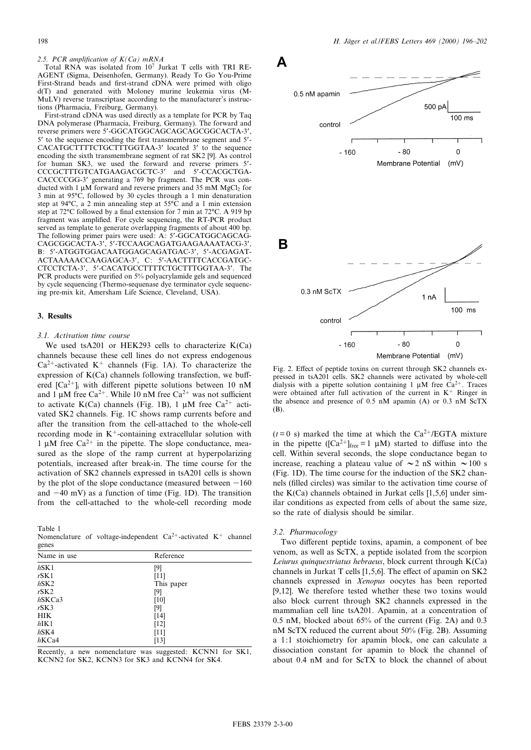2.5. PCR amplification of  $K(Ca)$  mRNA

Total RNA was isolated from  $10^7$  Jurkat T cells with TRI RE-AGENT (Sigma, Deisenhofen, Germany). Ready To Go You-Prime First-Strand beads and first-strand cDNA were primed with oligo d(T) and generated with Moloney murine leukemia virus (M-MuLV) reverse transcriptase according to the manufacturer's instructions (Pharmacia, Freiburg, Germany).

First-strand cDNA was used directly as a template for PCR by Taq DNA polymerase (Pharmacia, Freiburg, Germany). The forward and reverse primers were 5'-GGCATGGCAGCAGCAGCGGCACTA-3', 5' to the sequence encoding the first transmembrane segment and 5'-CACATGCTTTTCTGCTTTGGTAA-3' located 3' to the sequence encoding the sixth transmembrane segment of rat SK2 [9]. As control for human SK3, we used the forward and reverse primers 5'-CCCGCTTTGTCATGAAGACGCTC-3' and 5'-CCACGCTGA-CACCCCGG-3' generating a 769 bp fragment. The PCR was conducted with 1  $\mu$ M forward and reverse primers and 35 mM MgCl<sub>2</sub> for 3 min at 95°C, followed by 30 cycles through a 1 min denaturation step at  $94^{\circ}$ C, a 2 min annealing step at  $55^{\circ}$ C and a 1 min extension step at 72 $^{\circ}$ C followed by a final extension for 7 min at 72 $^{\circ}$ C. A 919 bp fragment was amplified. For cycle sequencing, the RT-PCR product served as template to generate overlapping fragments of about 400 bp. The following primer pairs were used: A: 5'-GGCATGGCAGCAG-CAGCGGCACTA-3', 5'-TCCAAGCAGATGAAGAAAATACG-3', B: 5'-ATGGTGGACAATGGAGCAGATGAC-3', 5'-ACGAGAT-ACTAAAAACCAAGAGCA-3', C: 5'-AACTTTTCACCGATGC-CTCCTCTA-3', 5'-CACATGCCTTTTCTGCTTTGGTAA-3'. The PCR products were purified on 5% polyacrylamide gels and sequenced by cycle sequencing (Thermo-sequenase dye terminator cycle sequencing pre-mix kit, Amersham Life Science, Cleveland, USA).

## 3. Results

#### 3.1. Activation time course

We used tsA201 or HEK293 cells to characterize K(Ca) channels because these cell lines do not express endogenous  $Ca^{2+}$ -activated K<sup>+</sup> channels (Fig. 1A). To characterize the expression of  $K(Ca)$  channels following transfection, we buffered  $[Ca^{2+}]$ <sub>i</sub> with different pipette solutions between 10 nM and 1  $\mu$ M free Ca<sup>2+</sup>. While 10 nM free Ca<sup>2+</sup> was not sufficient to activate K(Ca) channels (Fig. 1B), 1  $\mu$ M free Ca<sup>2+</sup> activated SK2 channels. Fig. 1C shows ramp currents before and after the transition from the cell-attached to the whole-cell recording mode in  $K^+$ -containing extracellular solution with 1  $\mu$ M free Ca<sup>2+</sup> in the pipette. The slope conductance, measured as the slope of the ramp current at hyperpolarizing potentials, increased after break-in. The time course for the activation of SK2 channels expressed in tsA201 cells is shown by the plot of the slope conductance (measured between  $-160$ and  $-40$  mV) as a function of time (Fig. 1D). The transition from the cell-attached to the whole-cell recording mode

Table 1

Nomenclature of voltage-independent  $Ca^{2+}$ -activated K<sup>+</sup> channel genes

| Name in use | Reference  |  |  |  |
|-------------|------------|--|--|--|
| $h$ SK1     | [9]        |  |  |  |
| $r$ SK1     | [11]       |  |  |  |
| $h$ SK2     | This paper |  |  |  |
| $r$ SK2     | [9]        |  |  |  |
| $h$ SKCa3   | [10]       |  |  |  |
| $r$ SK3     | [9]        |  |  |  |
| <b>HIK</b>  | [14]       |  |  |  |
| $h$ IK1     | [12]       |  |  |  |
| $h$ SK4     | [11]       |  |  |  |
| $hKCa4$     | [13]       |  |  |  |

Recently, a new nomenclature was suggested: KCNN1 for SK1, KCNN2 for SK2, KCNN3 for SK3 and KCNN4 for SK4.



Fig. 2. Effect of peptide toxins on current through SK2 channels expressed in tsA201 cells. SK2 channels were activated by whole-cell dialysis with a pipette solution containing 1  $\mu$ M free Ca<sup>2+</sup>. Traces were obtained after full activation of the current in  $K^+$  Ringer in the absence and presence of 0.5 nM apamin (A) or 0.3 nM ScTX (B).

 $(t=0)$  s) marked the time at which the Ca<sup>2+</sup>/EGTA mixture in the pipette ( $[Ca^{2+}]$ free = 1 µM) started to diffuse into the cell. Within several seconds, the slope conductance began to increase, reaching a plateau value of  $\sim$  2 nS within  $\sim$  100 s (Fig. 1D). The time course for the induction of the SK2 channels (¢lled circles) was similar to the activation time course of the K(Ca) channels obtained in Jurkat cells [1,5,6] under similar conditions as expected from cells of about the same size, so the rate of dialysis should be similar.

#### 3.2. Pharmacology

Two different peptide toxins, apamin, a component of bee venom, as well as ScTX, a peptide isolated from the scorpion Leiurus quinquestriatus hebraeus, block current through K(Ca) channels in Jurkat T cells  $[1,5,6]$ . The effect of apamin on SK2 channels expressed in Xenopus oocytes has been reported [9,12]. We therefore tested whether these two toxins would also block current through SK2 channels expressed in the mammalian cell line tsA201. Apamin, at a concentration of 0.5 nM, blocked about 65% of the current (Fig. 2A) and 0.3 nM ScTX reduced the current about 50% (Fig. 2B). Assuming a 1:1 stoichiometry for apamin block, one can calculate a dissociation constant for apamin to block the channel of about 0.4 nM and for ScTX to block the channel of about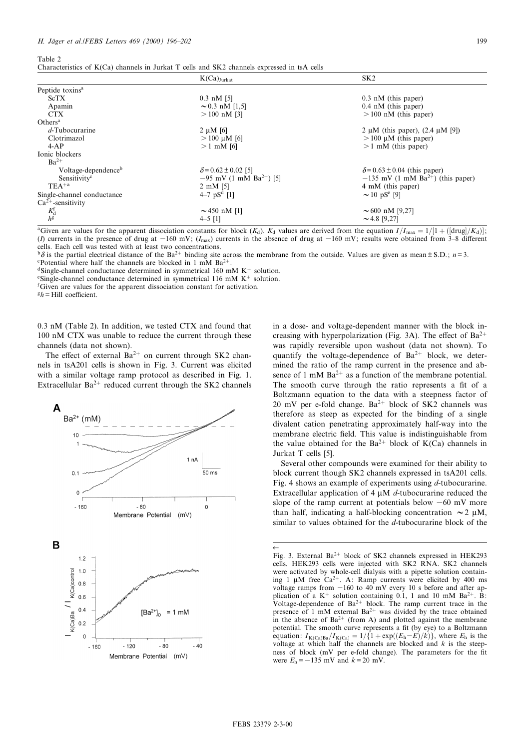Table 2

|                                       | $K(Ca)_{\text{Jurkat}}$               | SK <sub>2</sub>                                 |  |  |  |
|---------------------------------------|---------------------------------------|-------------------------------------------------|--|--|--|
| Peptide toxins <sup>a</sup>           |                                       |                                                 |  |  |  |
| <b>ScTX</b>                           | $0.3 \text{ nM}$ [5]                  | $0.3$ nM (this paper)                           |  |  |  |
| Apamin                                | $\sim 0.3$ nM [1,5]                   | $0.4$ nM (this paper)                           |  |  |  |
| <b>CTX</b>                            | $>100$ nM [3]                         | $> 100$ nM (this paper)                         |  |  |  |
| Others <sup>a</sup>                   |                                       |                                                 |  |  |  |
| $d$ -Tubocurarine                     | $2 \mu M$ [6]                         | 2 $\mu$ M (this paper), (2.4 $\mu$ M [9])       |  |  |  |
| Clotrimazol                           | $> 100 \mu M$ [6]                     | $> 100 \mu M$ (this paper)                      |  |  |  |
| $4-AP$                                | $>1$ mM [6]                           | $>1$ mM (this paper)                            |  |  |  |
| Ionic blockers                        |                                       |                                                 |  |  |  |
| $Ba^{2+}$                             |                                       |                                                 |  |  |  |
| Voltage-dependence <sup>b</sup>       | $\delta$ = 0.62 ± 0.02 [5]            | $\delta$ = 0.63 ± 0.04 (this paper)             |  |  |  |
| Sensitivity <sup>c</sup>              | $-95$ mV (1 mM Ba <sup>2+</sup> ) [5] | $-135$ mV (1 mM Ba <sup>2+</sup> ) (this paper) |  |  |  |
| $TEA^{+a}$                            | $2 \text{ mM } [5]$                   | 4 mM (this paper)                               |  |  |  |
| Single-channel conductance            | 4–7 $pS^d$ [1]                        | $\sim$ 10 pS <sup>e</sup> [9]                   |  |  |  |
| $Ca^{2+}$ -sensitivity                |                                       |                                                 |  |  |  |
| $\frac{K_{\rm d}^{\rm f}}{h^{\rm g}}$ | $\sim$ 450 nM [1]                     | $\sim 600$ nM [9,27]                            |  |  |  |
|                                       | $4 - 5$ [1]                           | $\sim$ 4.8 [9,27]                               |  |  |  |

<sup>a</sup>Given are values for the apparent dissociation constants for block (K<sub>d</sub>). K<sub>d</sub> values are derived from the equation  $I/I_{\text{max}} = 1/[1 + (\text{[drug} / K_d)]$ ; (I) currents in the presence of drug at  $-160$  mV; (I<sub>max</sub>) currents in the absence of drug at  $-160$  mV; results were obtained from 3-8 different cells. Each cell was tested with at least two concentrations.

b<sub>A</sub> is the partial electrical distance of the Ba<sup>2+</sup> binding site across the membrane from the outside. Values are given as mean  $\pm$  S.D.; *n* = 3. cPotential where half the channels are blocked in 1 mM Ba<sup>2+</sup>.

<sup>d</sup>Single-channel conductance determined in symmetrical 160 mM K<sup>+</sup> solution. <sup>e</sup>Single-channel conductance determined in symmetrical 116 mM K<sup>+</sup> solution.

f Given are values for the apparent dissociation constant for activation.

 $h = Hill$  coefficient.

0.3 nM (Table 2). In addition, we tested CTX and found that 100 nM CTX was unable to reduce the current through these channels (data not shown).

The effect of external  $Ba^{2+}$  on current through SK2 channels in tsA201 cells is shown in Fig. 3. Current was elicited with a similar voltage ramp protocol as described in Fig. 1. Extracellular  $Ba^{2+}$  reduced current through the SK2 channels



in a dose- and voltage-dependent manner with the block increasing with hyperpolarization (Fig. 3A). The effect of  $Ba^{2+}$ was rapidly reversible upon washout (data not shown). To quantify the voltage-dependence of  $Ba^{2+}$  block, we determined the ratio of the ramp current in the presence and absence of 1 mM  $Ba^{2+}$  as a function of the membrane potential. The smooth curve through the ratio represents a fit of a Boltzmann equation to the data with a steepness factor of 20 mV per e-fold change.  $Ba^{2+}$  block of SK2 channels was therefore as steep as expected for the binding of a single divalent cation penetrating approximately half-way into the membrane electric field. This value is indistinguishable from the value obtained for the Ba<sup>2+</sup> block of K(Ca) channels in Jurkat T cells [5].

Several other compounds were examined for their ability to block current though SK2 channels expressed in tsA201 cells. Fig. 4 shows an example of experiments using d-tubocurarine. Extracellular application of 4  $\mu$ M d-tubocurarine reduced the slope of the ramp current at potentials below  $-60$  mV more than half, indicating a half-blocking concentration  $\sim$  2  $\mu$ M, similar to values obtained for the d-tubocurarine block of the

 $\leftarrow$ Fig. 3. External  $Ba^{2+}$  block of SK2 channels expressed in HEK293 cells. HEK293 cells were injected with SK2 RNA. SK2 channels were activated by whole-cell dialysis with a pipette solution containing 1  $\mu$ M free Ca<sup>2+</sup>. A: Ramp currents were elicited by 400 ms voltage ramps from  $-160$  to  $40 \text{ mV}$  every 10 s before and after application of a  $K^+$  solution containing 0.1, 1 and 10 mM Ba<sup>2+</sup>. B: Voltage-dependence of  $Ba^{2+}$  block. The ramp current trace in the presence of 1 mM external  $Ba^{2+}$  was divided by the trace obtained in the absence of  $Ba^{2+}$  (from A) and plotted against the membrane potential. The smooth curve represents a fit (by eye) to a Boltzmann equation:  $I_{K(Ca)Ba}/I_{K(Ca)} = 1/\{1 + \exp((E_h - E)/k)\}\text{, where } E_h$  is the voltage at which half the channels are blocked and  $k$  is the steepness of block (mV per e-fold change). The parameters for the fit were  $E_h = -135$  mV and  $k = 20$  mV.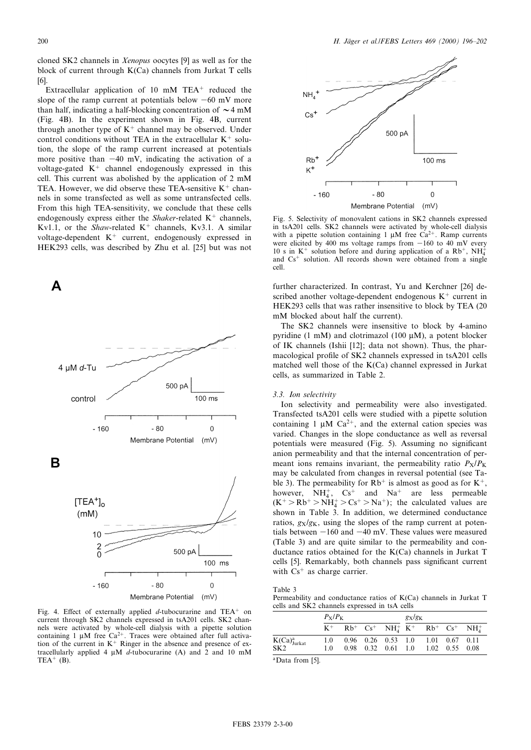Extracellular application of 10 mM TEA<sup>+</sup> reduced the slope of the ramp current at potentials below  $-60$  mV more than half, indicating a half-blocking concentration of  $\sim$  4 mM (Fig. 4B). In the experiment shown in Fig. 4B, current through another type of  $K^+$  channel may be observed. Under control conditions without TEA in the extracellular  $K^+$  solution, the slope of the ramp current increased at potentials more positive than  $-40$  mV, indicating the activation of a voltage-gated  $K<sup>+</sup>$  channel endogenously expressed in this cell. This current was abolished by the application of 2 mM TEA. However, we did observe these TEA-sensitive  $K^+$  channels in some transfected as well as some untransfected cells. From this high TEA-sensitivity, we conclude that these cells endogenously express either the Shaker-related  $K^+$  channels, Kv1.1, or the Shaw-related  $K^+$  channels, Kv3.1. A similar voltage-dependent  $K^+$  current, endogenously expressed in HEK293 cells, was described by Zhu et al. [25] but was not



Fig. 4. Effect of externally applied  $d$ -tubocurarine and TEA<sup>+</sup> on current through SK2 channels expressed in tsA201 cells. SK2 channels were activated by whole-cell dialysis with a pipette solution containing 1  $\mu$ M free Ca<sup>2+</sup>. Traces were obtained after full activation of the current in  $K^+$  Ringer in the absence and presence of extracellularly applied 4  $\mu$ M d-tubocurarine (A) and 2 and 10 mM  $TEA^+$  (B).



Fig. 5. Selectivity of monovalent cations in SK2 channels expressed in tsA201 cells. SK2 channels were activated by whole-cell dialysis with a pipette solution containing 1  $\mu$ M free Ca<sup>2+</sup>. Ramp currents were elicited by 400 ms voltage ramps from  $-160$  to 40 mV every 10 s in K<sup>+</sup> solution before and during application of a Rb<sup>+</sup>, NH<sub>4</sub><sup>+</sup> and  $Cs<sup>+</sup>$  solution. All records shown were obtained from a single cell.

further characterized. In contrast, Yu and Kerchner [26] described another voltage-dependent endogenous  $K<sup>+</sup>$  current in HEK293 cells that was rather insensitive to block by TEA (20 mM blocked about half the current).

The SK2 channels were insensitive to block by 4-amino pyridine (1 mM) and clotrimazol (100  $\mu$ M), a potent blocker of IK channels (Ishii [12]; data not shown). Thus, the pharmacological profile of SK2 channels expressed in tsA201 cells matched well those of the K(Ca) channel expressed in Jurkat cells, as summarized in Table 2.

## 3.3. Ion selectivity

Ion selectivity and permeability were also investigated. Transfected tsA201 cells were studied with a pipette solution containing 1  $\mu$ M Ca<sup>2+</sup>, and the external cation species was varied. Changes in the slope conductance as well as reversal potentials were measured (Fig. 5). Assuming no significant anion permeability and that the internal concentration of permeant ions remains invariant, the permeability ratio  $P_X/P_K$ may be calculated from changes in reversal potential (see Table 3). The permeability for  $Rb<sup>+</sup>$  is almost as good as for  $K<sup>+</sup>$ , however,  $NH_4^+$ ,  $Cs^+$  and  $Na^+$  are less permeable  $(K^+ > Rb^+ > NH_4^+ > Cs^+ > Na^+$ ); the calculated values are shown in Table 3. In addition, we determined conductance ratios,  $g_X/g_K$ , using the slopes of the ramp current at potentials between  $-160$  and  $-40$  mV. These values were measured (Table 3) and are quite similar to the permeability and conductance ratios obtained for the K(Ca) channels in Jurkat T cells [5]. Remarkably, both channels pass significant current with  $Cs^+$  as charge carrier.

Table 3 Permeability and conductance ratios of K(Ca) channels in Jurkat T cells and SK2 channels expressed in tsA cells

|                           |          | $P_X/P_K$ |  |                          |  | $g_X/g_K$                                                                                                                                      |  |  |  |
|---------------------------|----------|-----------|--|--------------------------|--|------------------------------------------------------------------------------------------------------------------------------------------------|--|--|--|
|                           |          |           |  |                          |  | $K^+$ Rb <sup>+</sup> Cs <sup>+</sup> NH <sub>4</sub> <sup>+</sup> K <sup>+</sup> Rb <sup>+</sup> Cs <sup>+</sup> NH <sub>4</sub> <sup>+</sup> |  |  |  |
| $K(Ca)_{\text{Jurkat}}^a$ | 10<br>10 |           |  | $0.98$ $0.32$ $0.61$ 1.0 |  | $0.96$ $0.26$ $0.53$ $1.0$ $1.01$ $0.67$ $0.11$<br>1.02 0.55 0.08                                                                              |  |  |  |

aData from [5].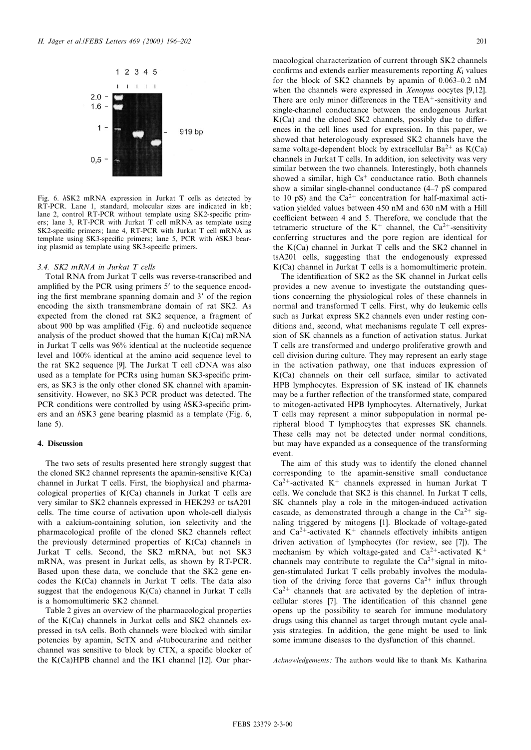

Fig. 6. hSK2 mRNA expression in Jurkat T cells as detected by RT-PCR. Lane 1, standard, molecular sizes are indicated in kb; lane 2, control RT-PCR without template using SK2-specific primers; lane 3, RT-PCR with Jurkat T cell mRNA as template using SK2-specific primers; lane 4, RT-PCR with Jurkat T cell mRNA as template using SK3-specific primers; lane 5, PCR with hSK3 bearing plasmid as template using SK3-specific primers.

## 3.4. SK2 mRNA in Jurkat T cells

Total RNA from Jurkat T cells was reverse-transcribed and amplified by the PCR using primers 5' to the sequence encoding the first membrane spanning domain and 3' of the region encoding the sixth transmembrane domain of rat SK2. As expected from the cloned rat SK2 sequence, a fragment of about 900 bp was amplified (Fig. 6) and nucleotide sequence analysis of the product showed that the human  $K(Ca)$  mRNA in Jurkat T cells was 96% identical at the nucleotide sequence level and 100% identical at the amino acid sequence level to the rat SK2 sequence [9]. The Jurkat T cell cDNA was also used as a template for PCRs using human SK3-specific primers, as SK3 is the only other cloned SK channel with apaminsensitivity. However, no SK3 PCR product was detected. The PCR conditions were controlled by using  $h$ SK3-specific primers and an hSK3 gene bearing plasmid as a template (Fig. 6, lane 5).

## 4. Discussion

The two sets of results presented here strongly suggest that the cloned SK2 channel represents the apamin-sensitive K(Ca) channel in Jurkat T cells. First, the biophysical and pharmacological properties of K(Ca) channels in Jurkat T cells are very similar to SK2 channels expressed in HEK293 or tsA201 cells. The time course of activation upon whole-cell dialysis with a calcium-containing solution, ion selectivity and the pharmacological profile of the cloned SK2 channels reflect the previously determined properties of K(Ca) channels in Jurkat T cells. Second, the SK2 mRNA, but not SK3 mRNA, was present in Jurkat cells, as shown by RT-PCR. Based upon these data, we conclude that the SK2 gene encodes the K(Ca) channels in Jurkat T cells. The data also suggest that the endogenous K(Ca) channel in Jurkat T cells is a homomultimeric SK2 channel.

Table 2 gives an overview of the pharmacological properties of the K(Ca) channels in Jurkat cells and SK2 channels expressed in tsA cells. Both channels were blocked with similar potencies by apamin, ScTX and d-tubocurarine and neither channel was sensitive to block by CTX, a specific blocker of the K(Ca)HPB channel and the IK1 channel [12]. Our pharmacological characterization of current through SK2 channels confirms and extends earlier measurements reporting  $K_i$  values for the block of SK2 channels by apamin of  $0.063-0.2$  nM when the channels were expressed in Xenopus oocytes [9,12]. There are only minor differences in the  $TEA<sup>+</sup>$ -sensitivity and single-channel conductance between the endogenous Jurkat  $K(Ca)$  and the cloned SK2 channels, possibly due to differences in the cell lines used for expression. In this paper, we showed that heterologously expressed SK2 channels have the same voltage-dependent block by extracellular  $Ba^{2+}$  as  $K(Ca)$ channels in Jurkat T cells. In addition, ion selectivity was very similar between the two channels. Interestingly, both channels showed a similar, high  $Cs<sup>+</sup>$  conductance ratio. Both channels show a similar single-channel conductance (4–7 pS compared to 10 pS) and the  $Ca^{2+}$  concentration for half-maximal activation yielded values between 450 nM and 630 nM with a Hill coefficient between 4 and 5. Therefore, we conclude that the tetrameric structure of the  $K^+$  channel, the Ca<sup>2+</sup>-sensitivity conferring structures and the pore region are identical for the K(Ca) channel in Jurkat T cells and the SK2 channel in tsA201 cells, suggesting that the endogenously expressed K(Ca) channel in Jurkat T cells is a homomultimeric protein.

The identification of SK2 as the SK channel in Jurkat cells provides a new avenue to investigate the outstanding questions concerning the physiological roles of these channels in normal and transformed T cells. First, why do leukemic cells such as Jurkat express SK2 channels even under resting conditions and, second, what mechanisms regulate T cell expression of SK channels as a function of activation status. Jurkat T cells are transformed and undergo proliferative growth and cell division during culture. They may represent an early stage in the activation pathway, one that induces expression of K(Ca) channels on their cell surface, similar to activated HPB lymphocytes. Expression of SK instead of IK channels may be a further reflection of the transformed state, compared to mitogen-activated HPB lymphocytes. Alternatively, Jurkat T cells may represent a minor subpopulation in normal peripheral blood T lymphocytes that expresses SK channels. These cells may not be detected under normal conditions, but may have expanded as a consequence of the transforming event.

The aim of this study was to identify the cloned channel corresponding to the apamin-sensitive small conductance  $Ca^{2+}$ -activated K<sup>+</sup> channels expressed in human Jurkat T cells. We conclude that SK2 is this channel. In Jurkat T cells, SK channels play a role in the mitogen-induced activation cascade, as demonstrated through a change in the  $Ca^{2+}$  signaling triggered by mitogens [1]. Blockade of voltage-gated and  $Ca^{2+}$ -activated K<sup>+</sup> channels effectively inhibits antigen driven activation of lymphocytes (for review, see [7]). The mechanism by which voltage-gated and  $Ca^{2+}$ -activated K<sup>+</sup> channels may contribute to regulate the  $Ca^{2+}$  signal in mitogen-stimulated Jurkat T cells probably involves the modulation of the driving force that governs  $Ca^{2+}$  influx through  $Ca^{2+}$  channels that are activated by the depletion of intracellular stores [7]. The identification of this channel gene opens up the possibility to search for immune modulatory drugs using this channel as target through mutant cycle analysis strategies. In addition, the gene might be used to link some immune diseases to the dysfunction of this channel.

Acknowledgements: The authors would like to thank Ms. Katharina